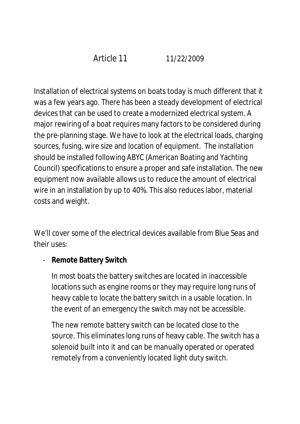Article 11 11/22/2009

Installation of electrical systems on boats today is much different that it was a few years ago. There has been a steady development of electrical devices that can be used to create a modernized electrical system. A major rewiring of a boat requires many factors to be considered during the pre-planning stage. We have to look at the electrical loads, charging sources, fusing, wire size and location of equipment. The installation should be installed following ABYC (American Boating and Yachting Council) specifications to ensure a proper and safe installation. The new equipment now available allows us to reduce the amount of electrical wire in an installation by up to 40%. This also reduces labor, material costs and weight.

We'll cover some of the electrical devices available from Blue Seas and their uses:

- **Remote Battery Switch**

In most boats the battery switches are located in inaccessible locations such as engine rooms or they may require long runs of heavy cable to locate the battery switch in a usable location. In the event of an emergency the switch may not be accessible.

The new remote battery switch can be located close to the source. This eliminates long runs of heavy cable. The switch has a solenoid built into it and can be manually operated or operated remotely from a conveniently located light duty switch.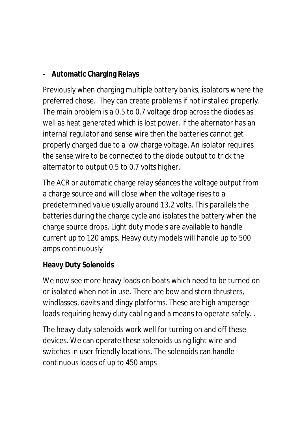- **Automatic Charging Relays**

Previously when charging multiple battery banks, isolators where the preferred chose. They can create problems if not installed properly. The main problem is a 0.5 to 0.7 voltage drop across the diodes as well as heat generated which is lost power. If the alternator has an internal regulator and sense wire then the batteries cannot get properly charged due to a low charge voltage. An isolator requires the sense wire to be connected to the diode output to trick the alternator to output 0.5 to 0.7 volts higher.

The ACR or automatic charge relay séances the voltage output from a charge source and will close when the voltage rises to a predetermined value usually around 13.2 volts. This parallels the batteries during the charge cycle and isolates the battery when the charge source drops. Light duty models are available to handle current up to 120 amps. Heavy duty models will handle up to 500 amps continuously

### **Heavy Duty Solenoids**

We now see more heavy loads on boats which need to be turned on or isolated when not in use. There are bow and stern thrusters, windlasses, davits and dingy platforms. These are high amperage loads requiring heavy duty cabling and a means to operate safely. .

The heavy duty solenoids work well for turning on and off these devices. We can operate these solenoids using light wire and switches in user friendly locations. The solenoids can handle continuous loads of up to 450 amps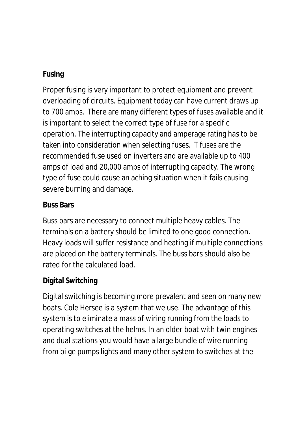## **Fusing**

Proper fusing is very important to protect equipment and prevent overloading of circuits. Equipment today can have current draws up to 700 amps. There are many different types of fuses available and it is important to select the correct type of fuse for a specific operation. The interrupting capacity and amperage rating has to be taken into consideration when selecting fuses. T fuses are the recommended fuse used on inverters and are available up to 400 amps of load and 20,000 amps of interrupting capacity. The wrong type of fuse could cause an aching situation when it fails causing severe burning and damage.

### **Buss Bars**

Buss bars are necessary to connect multiple heavy cables. The terminals on a battery should be limited to one good connection. Heavy loads will suffer resistance and heating if multiple connections are placed on the battery terminals. The buss bars should also be rated for the calculated load.

# **Digital Switching**

Digital switching is becoming more prevalent and seen on many new boats. Cole Hersee is a system that we use. The advantage of this system is to eliminate a mass of wiring running from the loads to operating switches at the helms. In an older boat with twin engines and dual stations you would have a large bundle of wire running from bilge pumps lights and many other system to switches at the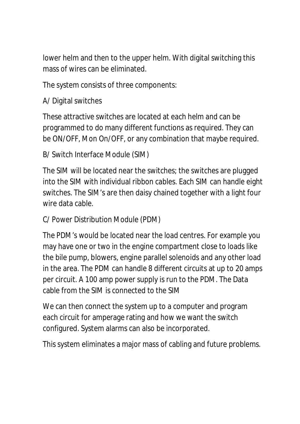lower helm and then to the upper helm. With digital switching this mass of wires can be eliminated.

The system consists of three components:

## A/ Digital switches

These attractive switches are located at each helm and can be programmed to do many different functions as required. They can be ON/OFF, Mon On/OFF, or any combination that maybe required.

```
B/ Switch Interface Module (SIM)
```
The SIM will be located near the switches; the switches are plugged into the SIM with individual ribbon cables. Each SIM can handle eight switches. The SIM's are then daisy chained together with a light four wire data cable.

### C/ Power Distribution Module (PDM)

The PDM's would be located near the load centres. For example you may have one or two in the engine compartment close to loads like the bile pump, blowers, engine parallel solenoids and any other load in the area. The PDM can handle 8 different circuits at up to 20 amps per circuit. A 100 amp power supply is run to the PDM. The Data cable from the SIM is connected to the SIM

We can then connect the system up to a computer and program each circuit for amperage rating and how we want the switch configured. System alarms can also be incorporated.

This system eliminates a major mass of cabling and future problems.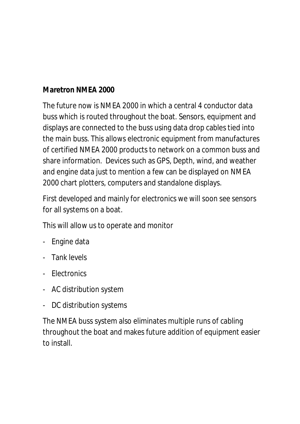## **Maretron NMEA 2000**

The future now is NMEA 2000 in which a central 4 conductor data buss which is routed throughout the boat. Sensors, equipment and displays are connected to the buss using data drop cables tied into the main buss. This allows electronic equipment from manufactures of certified NMEA 2000 products to network on a common buss and share information. Devices such as GPS, Depth, wind, and weather and engine data just to mention a few can be displayed on NMEA 2000 chart plotters, computers and standalone displays.

First developed and mainly for electronics we will soon see sensors for all systems on a boat.

This will allow us to operate and monitor

- Engine data
- Tank levels
- Electronics
- AC distribution system
- DC distribution systems

The NMEA buss system also eliminates multiple runs of cabling throughout the boat and makes future addition of equipment easier to install.